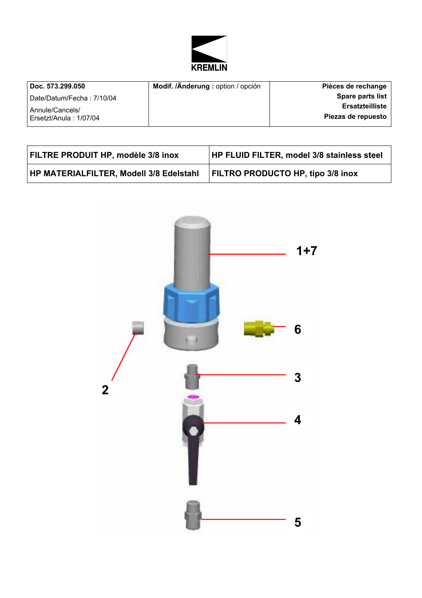

| Doc. 573.299.050          | Modif. /Änderung : option / opción | Pièces de rechange |
|---------------------------|------------------------------------|--------------------|
| Date/Datum/Fecha: 7/10/04 |                                    | Spare parts list   |
| Annule/Cancels/           |                                    | Ersatzteilliste    |
| Ersetzt/Anula: 1/07/04    |                                    | Piezas de repuesto |
|                           |                                    |                    |

| <b>FILTRE PRODUIT HP, modèle 3/8 inox</b>      | <b>HP FLUID FILTER, model 3/8 stainless steel</b> |
|------------------------------------------------|---------------------------------------------------|
| <b>HP MATERIALFILTER, Modell 3/8 Edelstahl</b> | <b>FILTRO PRODUCTO HP, tipo 3/8 inox</b>          |

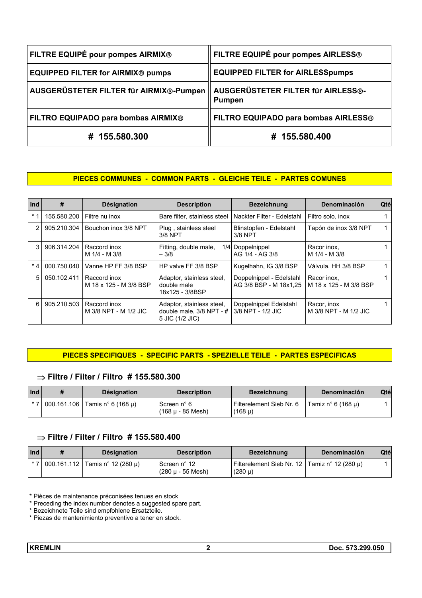| FILTRE EQUIPÉ pour pompes AIRMIX®                                             | <b>FILTRE EQUIPÉ pour pompes AIRLESS®</b> |
|-------------------------------------------------------------------------------|-------------------------------------------|
| <b>EQUIPPED FILTER for AIRMIX® pumps</b>                                      | <b>EQUIPPED FILTER for AIRLESSpumps</b>   |
| AUSGERÜSTETER FILTER für AIRMIX®-Pumpen    AUSGERÜSTETER FILTER für AIRLESS®- | <b>Pumpen</b>                             |
| FILTRO EQUIPADO para bombas AIRMIX®                                           | FILTRO EQUIPADO para bombas AIRLESS®      |
| # 155.580.300                                                                 | # 155.580.400                             |

### **PIECES COMMUNES - COMMON PARTS - GLEICHE TEILE - PARTES COMUNES**

| Ind  | #           | Désignation                            | <b>Description</b>                                                         | <b>Bezeichnung</b>                                 | Denominación                          | <b>Qté</b> |
|------|-------------|----------------------------------------|----------------------------------------------------------------------------|----------------------------------------------------|---------------------------------------|------------|
| $*1$ | 155.580.200 | Filtre nu inox                         | Bare filter, stainless steel                                               | Nackter Filter - Edelstahl                         | Filtro solo, inox                     |            |
| 2    | 905.210.304 | Bouchon inox 3/8 NPT                   | Plug, stainless steel<br>$3/8$ NPT                                         | Blinstopfen - Edelstahl<br>3/8 NPT                 | Tapón de inox 3/8 NPT                 |            |
| 3    | 906.314.204 | Raccord inox<br>M 1/4 - M 3/8          | Fitting, double male,<br>$-3/8$                                            | 1/4 Doppelnippel<br>AG 1/4 - AG 3/8                | Racor inox,<br>M 1/4 - M 3/8          |            |
| $*4$ | 000.750.040 | Vanne HP FF 3/8 BSP                    | HP valve FF 3/8 BSP                                                        | Kugelhahn, IG 3/8 BSP                              | Válvula, HH 3/8 BSP                   |            |
| 5    | 050.102.411 | Raccord inox<br>M 18 x 125 - M 3/8 BSP | Adaptor, stainless steel,<br>double male<br>18x125 - 3/8BSP                | Doppelnippel - Edelstahl<br>AG 3/8 BSP - M 18x1.25 | Racor inox.<br>M 18 x 125 - M 3/8 BSP |            |
| 6    | 905.210.503 | Raccord inox<br>M 3/8 NPT - M 1/2 JIC  | Adaptor, stainless steel,<br>double male, $3/8$ NPT - #<br>5 JIC (1/2 JIC) | Doppelnippel Edelstahl<br>3/8 NPT - 1/2 JIC        | Racor, inox<br>M 3/8 NPT - M 1/2 JIC  |            |

## **PIECES SPECIFIQUES - SPECIFIC PARTS - SPEZIELLE TEILE - PARTES ESPECIFICAS**

## ⇒ **Filtre / Filter / Filtro # 155.580.300**

| Ind | <b>Désignation</b>                       | <b>Description</b>                           | <b>Bezeichnung</b>                      | Denominación       | <b>Qté</b> |
|-----|------------------------------------------|----------------------------------------------|-----------------------------------------|--------------------|------------|
|     | $*$ 7   000.161.106   Tamis n° 6 (168 µ) | Screen n° 6<br>$(168 \mu - 85 \text{ Mesh})$ | Filterelement Sieb Nr. 6<br>$(168 \mu)$ | Tamiz n° 6 (168 µ) |            |

## ⇒ **Filtre / Filter / Filtro # 155.580.400**

| Ind | <b>Désignation</b>                        | <b>Description</b>                  | <b>Bezeichnung</b>                                             | Denominación | <b>Qté</b> |
|-----|-------------------------------------------|-------------------------------------|----------------------------------------------------------------|--------------|------------|
|     | $*$ 7   000.161.112   Tamis n° 12 (280 u) | Screen n° 12<br>  (280 µ - 55 Mesh) | Filterelement Sieb Nr. 12   Tamiz n° 12 (280 µ)<br>$(280 \mu)$ |              |            |

\* Pièces de maintenance préconisées tenues en stock

<sup>\*</sup> Preceding the index number denotes a suggested spare part.

<sup>\*</sup> Bezeichnete Teile sind empfohlene Ersatzteile.

<sup>\*</sup> Piezas de mantenimiento preventivo a tener en stock.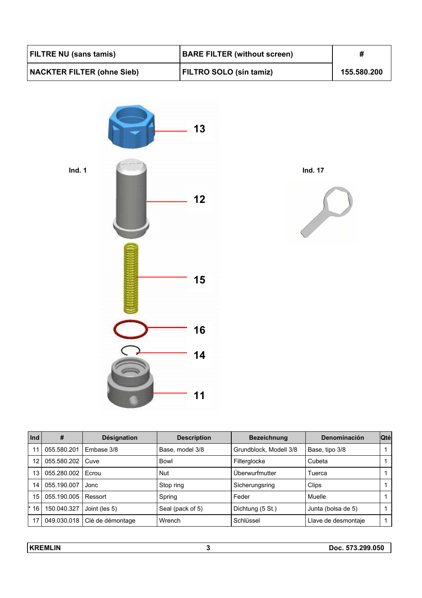| FILTRE NU (sans tamis)            | <b>BARE FILTER (without screen)</b> |             |
|-----------------------------------|-------------------------------------|-------------|
| <b>NACKTER FILTER (ohne Sieb)</b> | FILTRO SOLO (sin tamiz)             | 155.580.200 |







| Ind   | #           | <b>Désignation</b> | <b>Description</b> | <b>Bezeichnung</b>     | Denominación        | <b>Qté</b> |
|-------|-------------|--------------------|--------------------|------------------------|---------------------|------------|
| 11    | 055.580.201 | Embase 3/8         | Base, model 3/8    | Grundblock, Modell 3/8 | Base, tipo 3/8      |            |
| 12    | 055.580.202 | Cuve               | Bowl               | Filterglocke           | Cubeta              |            |
| 13    | 055.280.002 | Ecrou              | <b>Nut</b>         | Überwurfmutter         | Tuerca              |            |
| 14    | 055.190.007 | Jonc               | Stop ring          | Sicherungsring         | Clips               |            |
| 15    | 055.190.005 | Ressort            | Spring             | Feder                  | Muelle              |            |
| $*16$ | 150.040.327 | Joint (les 5)      | Seal (pack of 5)   | Dichtung (5 St.)       | Junta (bolsa de 5)  |            |
| 17    | 049.030.018 | Clé de démontage   | Wrench             | Schlüssel              | Llave de desmontaje |            |